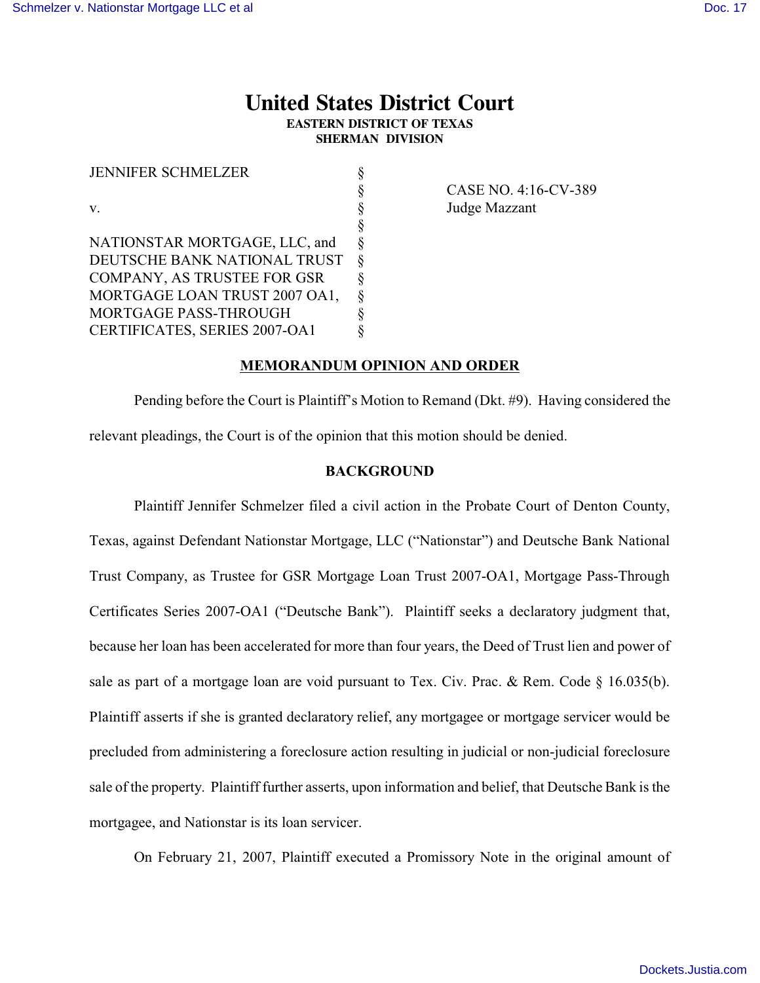# **United States District Court EASTERN DISTRICT OF TEXAS SHERMAN DIVISION**

| <b>JENNIFER SCHMELZER</b>     |          |
|-------------------------------|----------|
|                               | Ş        |
| V.                            | \$       |
|                               | Ş        |
| NATIONSTAR MORTGAGE, LLC, and | \$       |
| DEUTSCHE BANK NATIONAL TRUST  | 8        |
| COMPANY, AS TRUSTEE FOR GSR   | ş        |
| MORTGAGE LOAN TRUST 2007 OA1, | $\delta$ |
| MORTGAGE PASS-THROUGH         |          |
| CERTIFICATES, SERIES 2007-OA1 |          |

§ CASE NO. 4:16-CV-389 Judge Mazzant

### **MEMORANDUM OPINION AND ORDER**

Pending before the Court is Plaintiff's Motion to Remand (Dkt. #9). Having considered the relevant pleadings, the Court is of the opinion that this motion should be denied.

## **BACKGROUND**

Plaintiff Jennifer Schmelzer filed a civil action in the Probate Court of Denton County, Texas, against Defendant Nationstar Mortgage, LLC ("Nationstar") and Deutsche Bank National Trust Company, as Trustee for GSR Mortgage Loan Trust 2007-OA1, Mortgage Pass-Through Certificates Series 2007-OA1 ("Deutsche Bank"). Plaintiff seeks a declaratory judgment that, because her loan has been accelerated for more than four years, the Deed of Trust lien and power of sale as part of a mortgage loan are void pursuant to Tex. Civ. Prac. & Rem. Code  $\S$  16.035(b). Plaintiff asserts if she is granted declaratory relief, any mortgagee or mortgage servicer would be precluded from administering a foreclosure action resulting in judicial or non-judicial foreclosure sale of the property. Plaintiff further asserts, upon information and belief, that Deutsche Bank is the mortgagee, and Nationstar is its loan servicer.

On February 21, 2007, Plaintiff executed a Promissory Note in the original amount of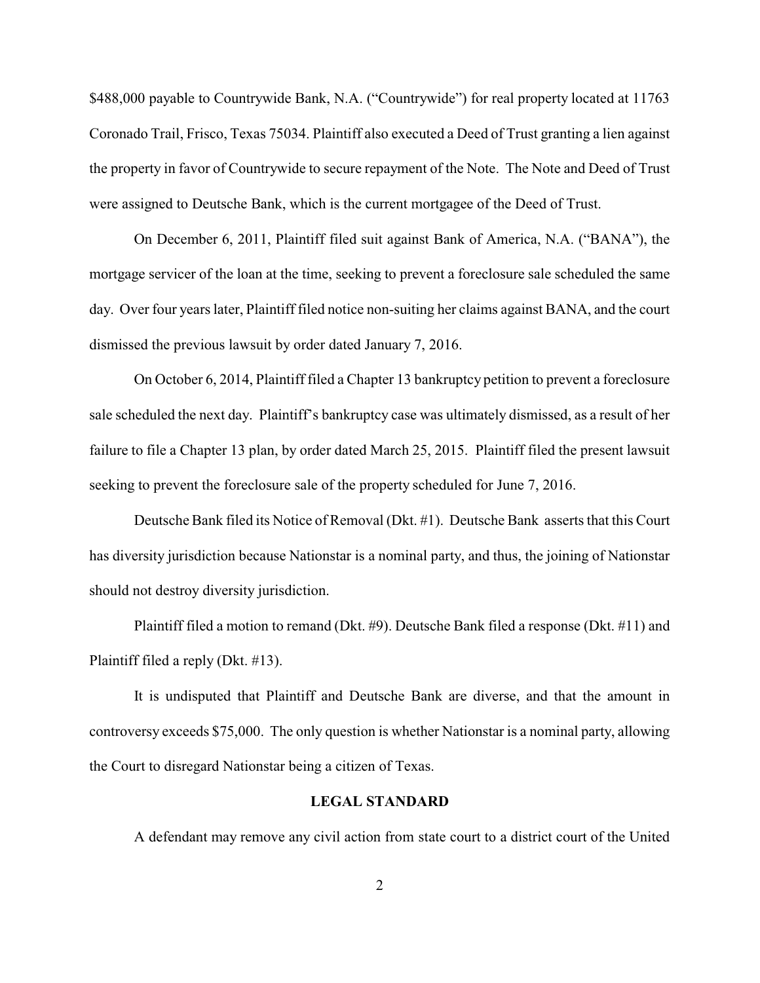\$488,000 payable to Countrywide Bank, N.A. ("Countrywide") for real property located at 11763 Coronado Trail, Frisco, Texas 75034. Plaintiff also executed a Deed of Trust granting a lien against the property in favor of Countrywide to secure repayment of the Note. The Note and Deed of Trust were assigned to Deutsche Bank, which is the current mortgagee of the Deed of Trust.

On December 6, 2011, Plaintiff filed suit against Bank of America, N.A. ("BANA"), the mortgage servicer of the loan at the time, seeking to prevent a foreclosure sale scheduled the same day. Over four years later, Plaintiff filed notice non-suiting her claims against BANA, and the court dismissed the previous lawsuit by order dated January 7, 2016.

On October 6, 2014, Plaintiff filed a Chapter 13 bankruptcy petition to prevent a foreclosure sale scheduled the next day. Plaintiff's bankruptcy case was ultimately dismissed, as a result of her failure to file a Chapter 13 plan, by order dated March 25, 2015. Plaintiff filed the present lawsuit seeking to prevent the foreclosure sale of the property scheduled for June 7, 2016.

Deutsche Bank filed its Notice of Removal (Dkt. #1). Deutsche Bank asserts that this Court has diversity jurisdiction because Nationstar is a nominal party, and thus, the joining of Nationstar should not destroy diversity jurisdiction.

Plaintiff filed a motion to remand (Dkt. #9). Deutsche Bank filed a response (Dkt. #11) and Plaintiff filed a reply (Dkt. #13).

It is undisputed that Plaintiff and Deutsche Bank are diverse, and that the amount in controversy exceeds \$75,000. The only question is whether Nationstar is a nominal party, allowing the Court to disregard Nationstar being a citizen of Texas.

#### **LEGAL STANDARD**

A defendant may remove any civil action from state court to a district court of the United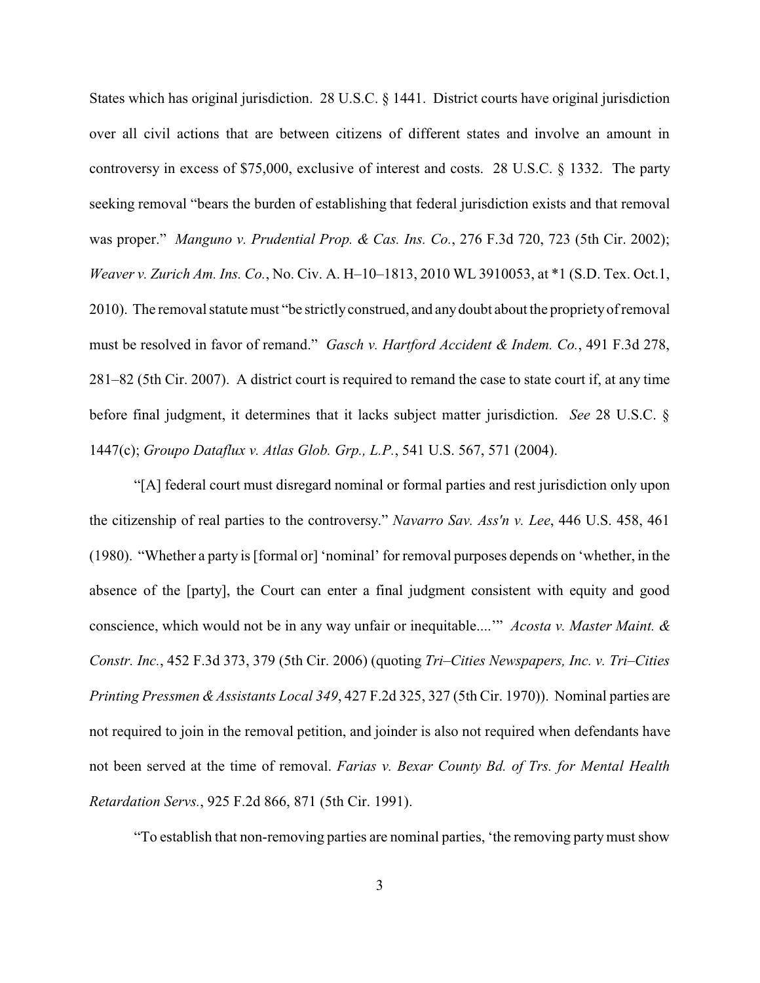States which has original jurisdiction. 28 U.S.C. § 1441. District courts have original jurisdiction over all civil actions that are between citizens of different states and involve an amount in controversy in excess of \$75,000, exclusive of interest and costs. 28 U.S.C. § 1332. The party seeking removal "bears the burden of establishing that federal jurisdiction exists and that removal was proper." *Manguno v. Prudential Prop. & Cas. Ins. Co.*, 276 F.3d 720, 723 (5th Cir. 2002); *Weaver v. Zurich Am. Ins. Co.*, No. Civ. A. H–10–1813, 2010 WL 3910053, at \*1 (S.D. Tex. Oct.1, 2010). The removal statute must "be strictlyconstrued, and anydoubt about the proprietyof removal must be resolved in favor of remand." *Gasch v. Hartford Accident & Indem. Co.*, 491 F.3d 278, 281–82 (5th Cir. 2007). A district court is required to remand the case to state court if, at any time before final judgment, it determines that it lacks subject matter jurisdiction. *See* 28 U.S.C. § 1447(c); *Groupo Dataflux v. Atlas Glob. Grp., L.P.*, 541 U.S. 567, 571 (2004).

"[A] federal court must disregard nominal or formal parties and rest jurisdiction only upon the citizenship of real parties to the controversy." *Navarro Sav. Ass'n v. Lee*, 446 U.S. 458, 461 (1980). "Whether a party is [formal or] 'nominal' for removal purposes depends on 'whether, in the absence of the [party], the Court can enter a final judgment consistent with equity and good conscience, which would not be in any way unfair or inequitable....'" *Acosta v. Master Maint. & Constr. Inc.*, 452 F.3d 373, 379 (5th Cir. 2006) (quoting *Tri–Cities Newspapers, Inc. v. Tri–Cities Printing Pressmen &Assistants Local 349*, 427 F.2d 325, 327 (5th Cir. 1970)). Nominal parties are not required to join in the removal petition, and joinder is also not required when defendants have not been served at the time of removal. *Farias v. Bexar County Bd. of Trs. for Mental Health Retardation Servs.*, 925 F.2d 866, 871 (5th Cir. 1991).

"To establish that non-removing parties are nominal parties, 'the removing partymust show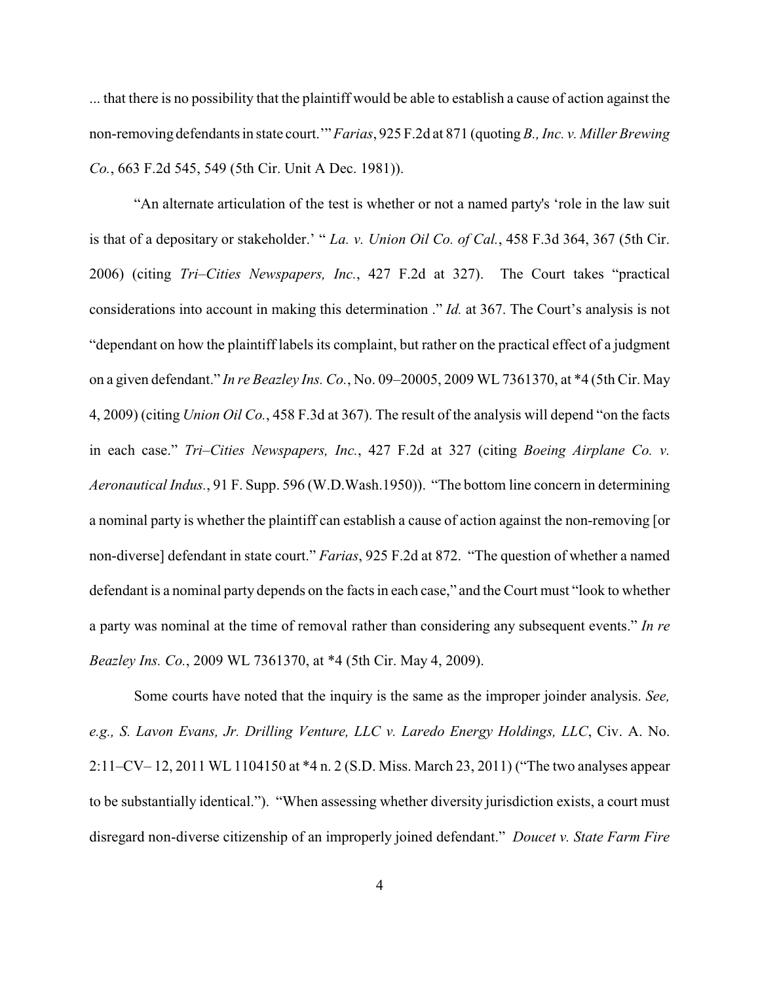... that there is no possibility that the plaintiff would be able to establish a cause of action against the non-removing defendants in state court.'" *Farias*, 925 F.2d at 871 (quoting*B., Inc. v. Miller Brewing Co.*, 663 F.2d 545, 549 (5th Cir. Unit A Dec. 1981)).

"An alternate articulation of the test is whether or not a named party's 'role in the law suit is that of a depositary or stakeholder.' " *La. v. Union Oil Co. of Cal.*, 458 F.3d 364, 367 (5th Cir. 2006) (citing *Tri–Cities Newspapers, Inc.*, 427 F.2d at 327). The Court takes "practical considerations into account in making this determination ." *Id.* at 367. The Court's analysis is not "dependant on how the plaintiff labels its complaint, but rather on the practical effect of a judgment on a given defendant." *In re Beazley Ins. Co.*, No. 09–20005, 2009 WL 7361370, at \*4 (5th Cir. May 4, 2009) (citing *Union Oil Co.*, 458 F.3d at 367). The result of the analysis will depend "on the facts in each case." *Tri–Cities Newspapers, Inc.*, 427 F.2d at 327 (citing *Boeing Airplane Co. v. Aeronautical Indus.*, 91 F. Supp. 596 (W.D.Wash.1950)). "The bottom line concern in determining a nominal party is whether the plaintiff can establish a cause of action against the non-removing [or non-diverse] defendant in state court." *Farias*, 925 F.2d at 872. "The question of whether a named defendant is a nominal party depends on the facts in each case," and the Court must "look to whether a party was nominal at the time of removal rather than considering any subsequent events." *In re Beazley Ins. Co.*, 2009 WL 7361370, at \*4 (5th Cir. May 4, 2009).

Some courts have noted that the inquiry is the same as the improper joinder analysis. *See, e.g., S. Lavon Evans, Jr. Drilling Venture, LLC v. Laredo Energy Holdings, LLC*, Civ. A. No. 2:11–CV– 12, 2011 WL 1104150 at \*4 n. 2 (S.D. Miss. March 23, 2011) ("The two analyses appear to be substantially identical."). "When assessing whether diversity jurisdiction exists, a court must disregard non-diverse citizenship of an improperly joined defendant." *Doucet v. State Farm Fire*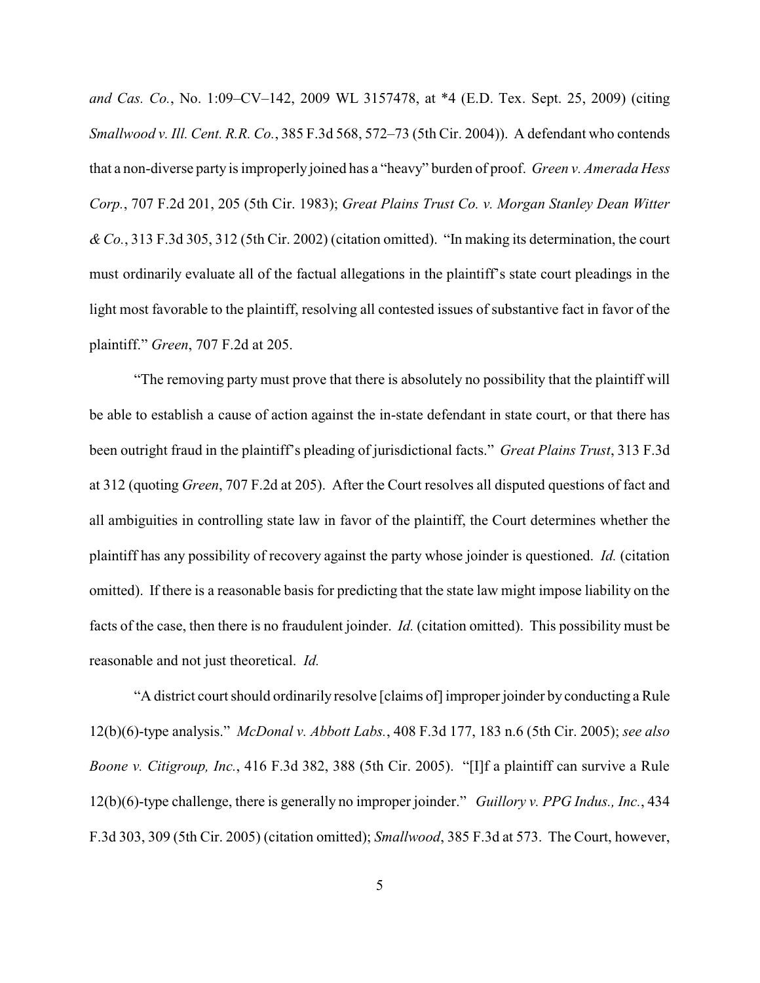*and Cas. Co.*, No. 1:09–CV–142, 2009 WL 3157478, at \*4 (E.D. Tex. Sept. 25, 2009) (citing *Smallwood v. Ill. Cent. R.R. Co.*, 385 F.3d 568, 572–73 (5th Cir. 2004)). A defendant who contends that a non-diverse party is improperly joined has a "heavy" burden of proof. *Green v. Amerada Hess Corp.*, 707 F.2d 201, 205 (5th Cir. 1983); *Great Plains Trust Co. v. Morgan Stanley Dean Witter & Co.*, 313 F.3d 305, 312 (5th Cir. 2002) (citation omitted). "In making its determination, the court must ordinarily evaluate all of the factual allegations in the plaintiff's state court pleadings in the light most favorable to the plaintiff, resolving all contested issues of substantive fact in favor of the plaintiff." *Green*, 707 F.2d at 205.

"The removing party must prove that there is absolutely no possibility that the plaintiff will be able to establish a cause of action against the in-state defendant in state court, or that there has been outright fraud in the plaintiff's pleading of jurisdictional facts." *Great Plains Trust*, 313 F.3d at 312 (quoting *Green*, 707 F.2d at 205). After the Court resolves all disputed questions of fact and all ambiguities in controlling state law in favor of the plaintiff, the Court determines whether the plaintiff has any possibility of recovery against the party whose joinder is questioned. *Id.* (citation omitted). If there is a reasonable basis for predicting that the state law might impose liability on the facts of the case, then there is no fraudulent joinder. *Id.* (citation omitted). This possibility must be reasonable and not just theoretical. *Id.*

"A district court should ordinarily resolve [claims of] improper joinder by conducting a Rule 12(b)(6)-type analysis." *McDonal v. Abbott Labs.*, 408 F.3d 177, 183 n.6 (5th Cir. 2005); *see also Boone v. Citigroup, Inc.*, 416 F.3d 382, 388 (5th Cir. 2005). "[I]f a plaintiff can survive a Rule 12(b)(6)-type challenge, there is generally no improper joinder." *Guillory v. PPG Indus., Inc.*, 434 F.3d 303, 309 (5th Cir. 2005) (citation omitted); *Smallwood*, 385 F.3d at 573. The Court, however,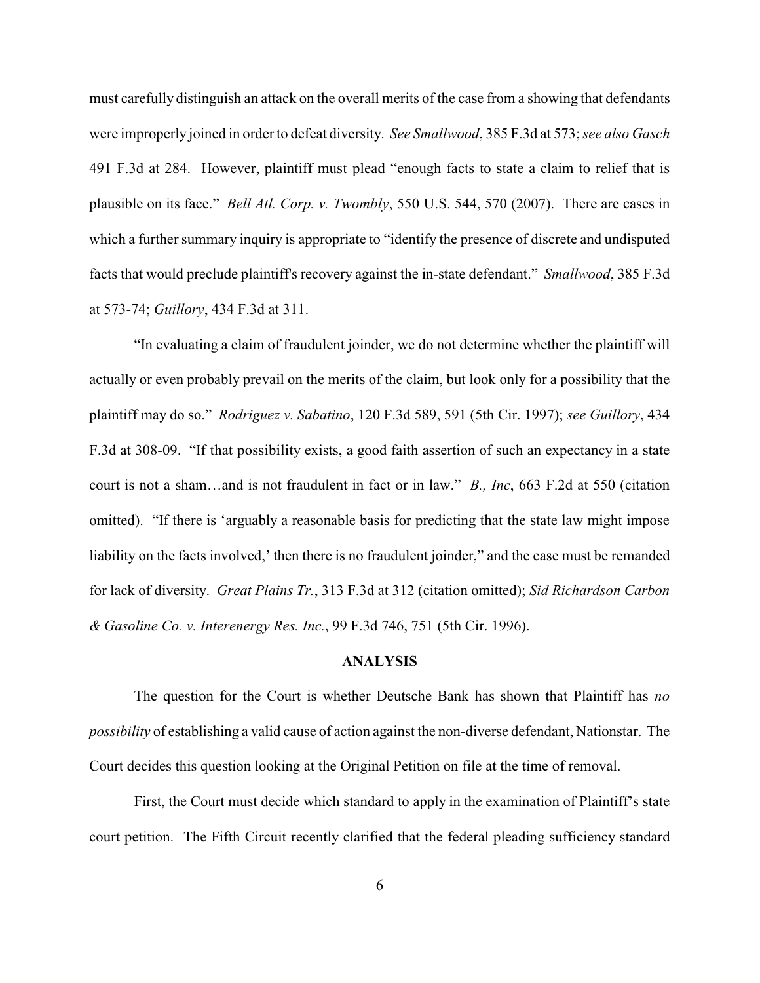must carefully distinguish an attack on the overall merits of the case from a showing that defendants were improperly joined in order to defeat diversity. *See Smallwood*, 385 F.3d at 573; *see also Gasch* 491 F.3d at 284. However, plaintiff must plead "enough facts to state a claim to relief that is plausible on its face." *Bell Atl. Corp. v. Twombly*, 550 U.S. 544, 570 (2007). There are cases in which a further summary inquiry is appropriate to "identify the presence of discrete and undisputed facts that would preclude plaintiff's recovery against the in-state defendant." *Smallwood*, 385 F.3d at 573-74; *Guillory*, 434 F.3d at 311.

"In evaluating a claim of fraudulent joinder, we do not determine whether the plaintiff will actually or even probably prevail on the merits of the claim, but look only for a possibility that the plaintiff may do so." *Rodriguez v. Sabatino*, 120 F.3d 589, 591 (5th Cir. 1997); *see Guillory*, 434 F.3d at 308-09. "If that possibility exists, a good faith assertion of such an expectancy in a state court is not a sham…and is not fraudulent in fact or in law." *B., Inc*, 663 F.2d at 550 (citation omitted). "If there is 'arguably a reasonable basis for predicting that the state law might impose liability on the facts involved,' then there is no fraudulent joinder," and the case must be remanded for lack of diversity. *Great Plains Tr.*, 313 F.3d at 312 (citation omitted); *Sid Richardson Carbon & Gasoline Co. v. Interenergy Res. Inc.*, 99 F.3d 746, 751 (5th Cir. 1996).

#### **ANALYSIS**

The question for the Court is whether Deutsche Bank has shown that Plaintiff has *no possibility* of establishing a valid cause of action against the non-diverse defendant, Nationstar. The Court decides this question looking at the Original Petition on file at the time of removal.

First, the Court must decide which standard to apply in the examination of Plaintiff's state court petition. The Fifth Circuit recently clarified that the federal pleading sufficiency standard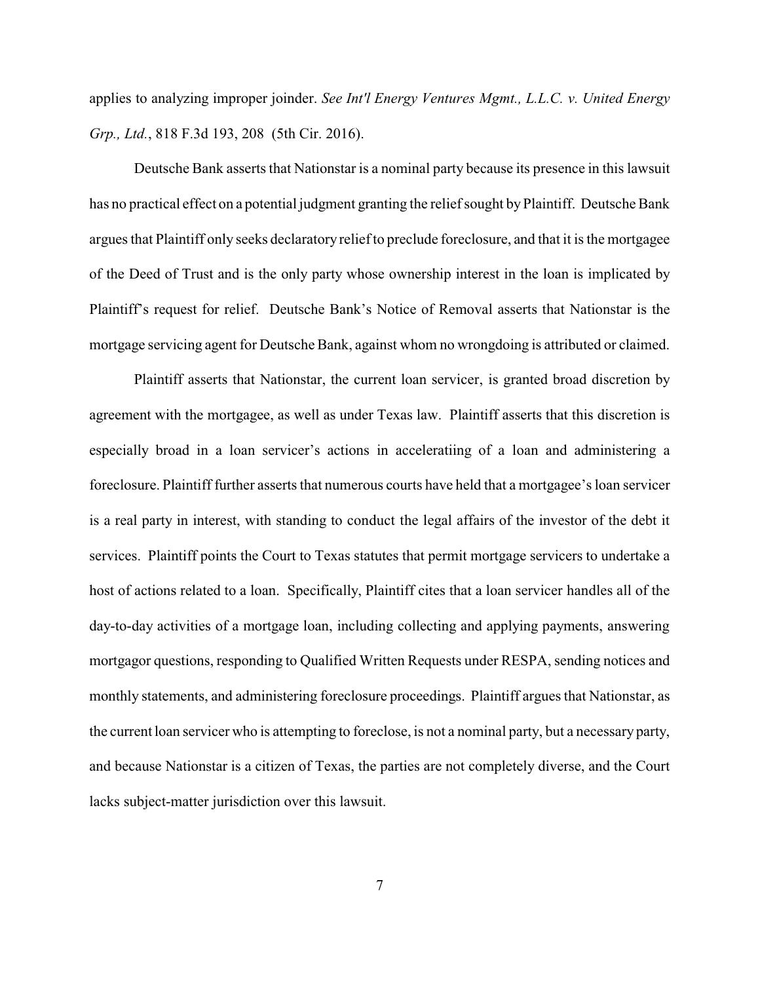applies to analyzing improper joinder. *See Int'l Energy Ventures Mgmt., L.L.C. v. United Energy Grp., Ltd.*, 818 F.3d 193, 208 (5th Cir. 2016).

Deutsche Bank asserts that Nationstar is a nominal party because its presence in this lawsuit has no practical effect on a potential judgment granting the relief sought by Plaintiff. Deutsche Bank argues that Plaintiff only seeks declaratoryrelief to preclude foreclosure, and that it is the mortgagee of the Deed of Trust and is the only party whose ownership interest in the loan is implicated by Plaintiff's request for relief. Deutsche Bank's Notice of Removal asserts that Nationstar is the mortgage servicing agent for Deutsche Bank, against whom no wrongdoing is attributed or claimed.

Plaintiff asserts that Nationstar, the current loan servicer, is granted broad discretion by agreement with the mortgagee, as well as under Texas law. Plaintiff asserts that this discretion is especially broad in a loan servicer's actions in acceleratiing of a loan and administering a foreclosure. Plaintiff further asserts that numerous courts have held that a mortgagee's loan servicer is a real party in interest, with standing to conduct the legal affairs of the investor of the debt it services. Plaintiff points the Court to Texas statutes that permit mortgage servicers to undertake a host of actions related to a loan. Specifically, Plaintiff cites that a loan servicer handles all of the day-to-day activities of a mortgage loan, including collecting and applying payments, answering mortgagor questions, responding to Qualified Written Requests under RESPA, sending notices and monthly statements, and administering foreclosure proceedings. Plaintiff argues that Nationstar, as the current loan servicer who is attempting to foreclose, is not a nominal party, but a necessary party, and because Nationstar is a citizen of Texas, the parties are not completely diverse, and the Court lacks subject-matter jurisdiction over this lawsuit.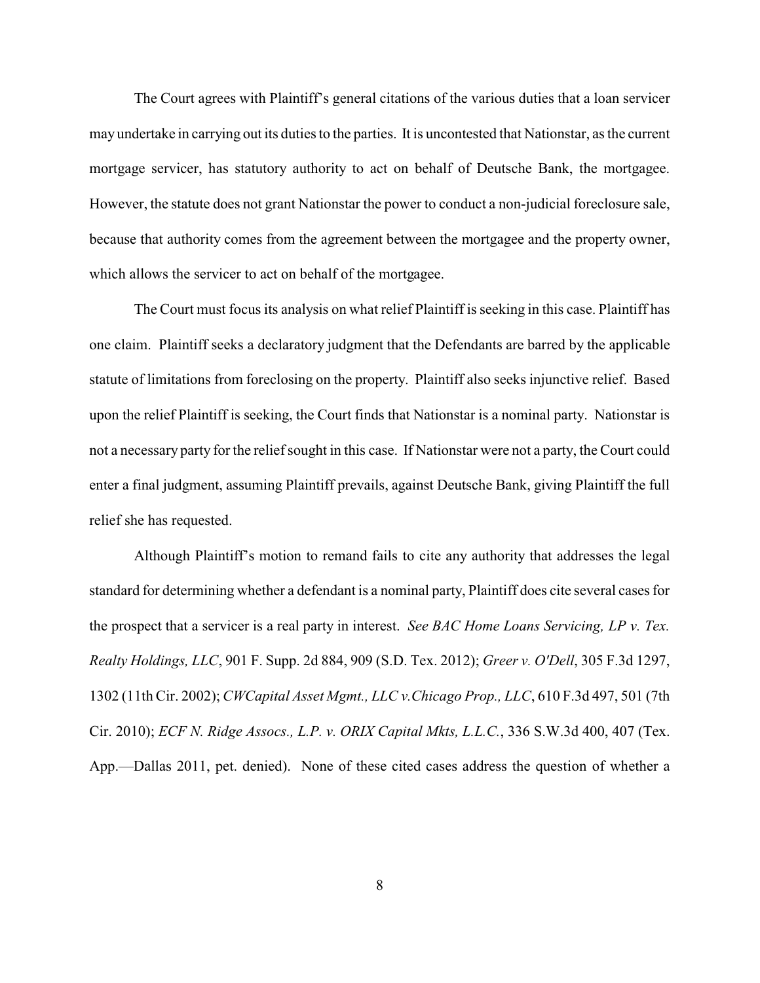The Court agrees with Plaintiff's general citations of the various duties that a loan servicer may undertake in carrying out its duties to the parties. It is uncontested that Nationstar, as the current mortgage servicer, has statutory authority to act on behalf of Deutsche Bank, the mortgagee. However, the statute does not grant Nationstar the power to conduct a non-judicial foreclosure sale, because that authority comes from the agreement between the mortgagee and the property owner, which allows the servicer to act on behalf of the mortgagee.

The Court must focus its analysis on what relief Plaintiff is seeking in this case. Plaintiff has one claim. Plaintiff seeks a declaratory judgment that the Defendants are barred by the applicable statute of limitations from foreclosing on the property. Plaintiff also seeks injunctive relief. Based upon the relief Plaintiff is seeking, the Court finds that Nationstar is a nominal party. Nationstar is not a necessary party for the relief sought in this case. If Nationstar were not a party, the Court could enter a final judgment, assuming Plaintiff prevails, against Deutsche Bank, giving Plaintiff the full relief she has requested.

Although Plaintiff's motion to remand fails to cite any authority that addresses the legal standard for determining whether a defendant is a nominal party, Plaintiff does cite several cases for the prospect that a servicer is a real party in interest. *See BAC Home Loans Servicing, LP v. Tex. Realty Holdings, LLC*, 901 F. Supp. 2d 884, 909 (S.D. Tex. 2012); *Greer v. O'Dell*, 305 F.3d 1297, 1302 (11th Cir. 2002); *CWCapital Asset Mgmt., LLC v.Chicago Prop., LLC*, 610 F.3d 497, 501 (7th Cir. 2010); *ECF N. Ridge Assocs., L.P. v. ORIX Capital Mkts, L.L.C.*, 336 S.W.3d 400, 407 (Tex. App.—Dallas 2011, pet. denied). None of these cited cases address the question of whether a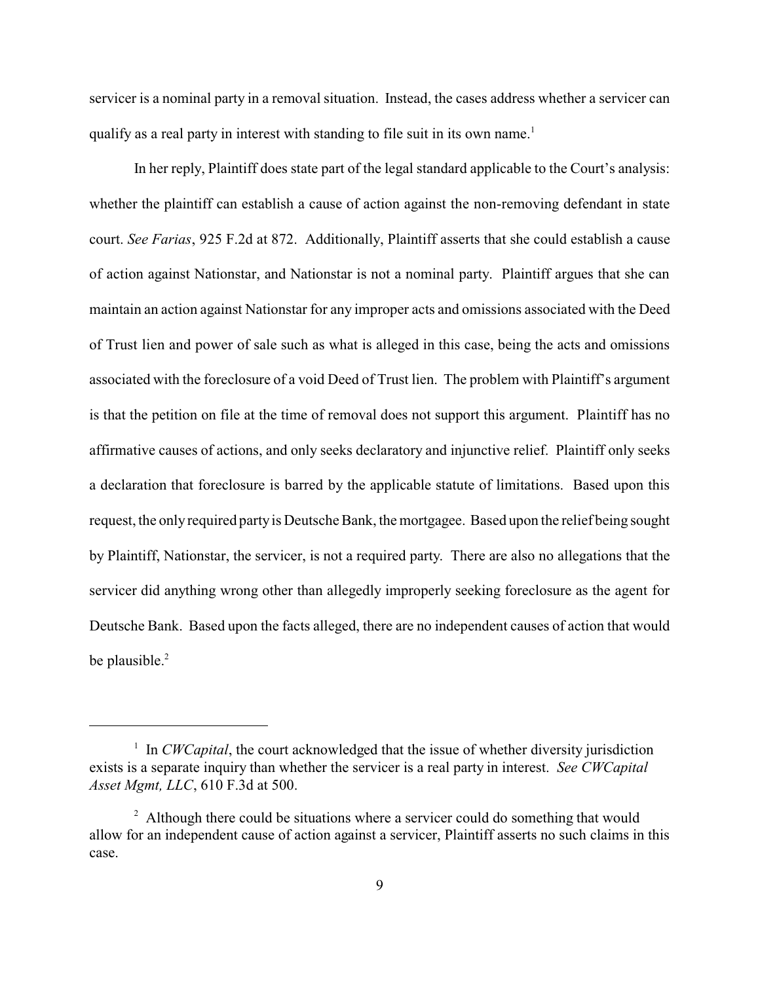servicer is a nominal party in a removal situation. Instead, the cases address whether a servicer can qualify as a real party in interest with standing to file suit in its own name.<sup>1</sup>

In her reply, Plaintiff does state part of the legal standard applicable to the Court's analysis: whether the plaintiff can establish a cause of action against the non-removing defendant in state court. *See Farias*, 925 F.2d at 872. Additionally, Plaintiff asserts that she could establish a cause of action against Nationstar, and Nationstar is not a nominal party. Plaintiff argues that she can maintain an action against Nationstar for any improper acts and omissions associated with the Deed of Trust lien and power of sale such as what is alleged in this case, being the acts and omissions associated with the foreclosure of a void Deed of Trust lien. The problem with Plaintiff's argument is that the petition on file at the time of removal does not support this argument. Plaintiff has no affirmative causes of actions, and only seeks declaratory and injunctive relief. Plaintiff only seeks a declaration that foreclosure is barred by the applicable statute of limitations. Based upon this request, the only required partyis Deutsche Bank, the mortgagee. Based upon the relief being sought by Plaintiff, Nationstar, the servicer, is not a required party. There are also no allegations that the servicer did anything wrong other than allegedly improperly seeking foreclosure as the agent for Deutsche Bank. Based upon the facts alleged, there are no independent causes of action that would be plausible.<sup>2</sup>

<sup>&</sup>lt;sup>1</sup> In *CWCapital*, the court acknowledged that the issue of whether diversity jurisdiction exists is a separate inquiry than whether the servicer is a real party in interest. *See CWCapital Asset Mgmt, LLC*, 610 F.3d at 500.

<sup>&</sup>lt;sup>2</sup> Although there could be situations where a servicer could do something that would allow for an independent cause of action against a servicer, Plaintiff asserts no such claims in this case.